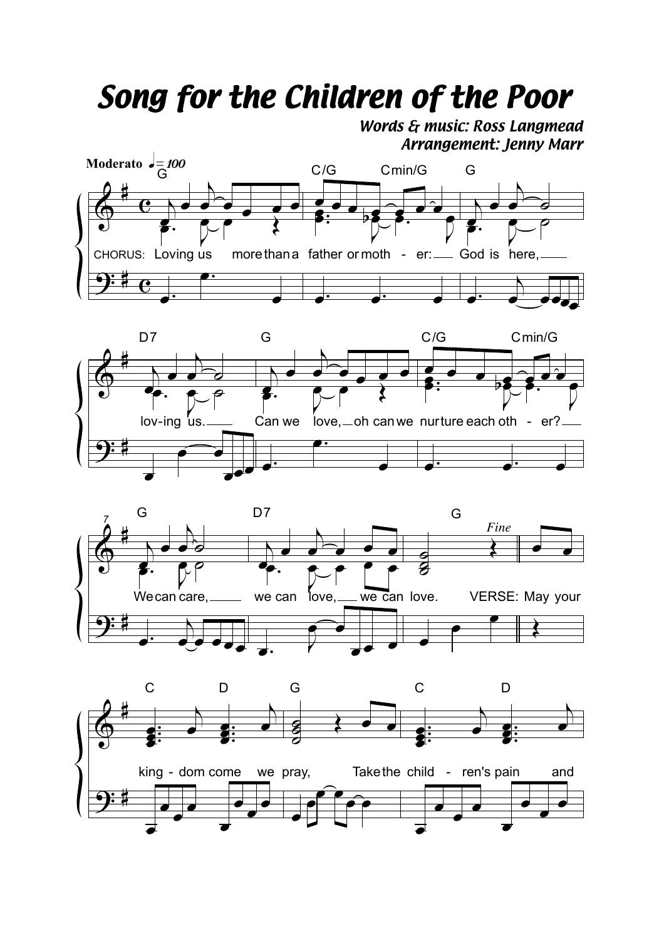## Song for the Children of the Poor

Words & music: Ross Langmead **Arrangement: Jenny Marr**